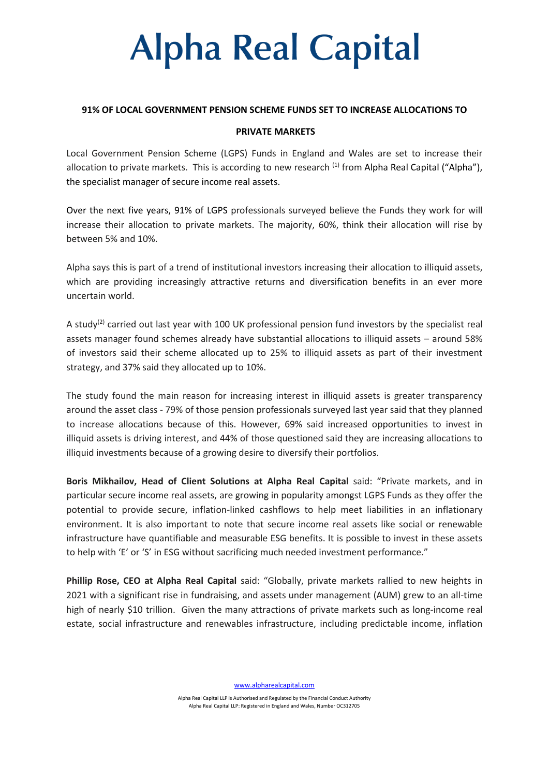## **Alpha Real Capital**

### **91% OF LOCAL GOVERNMENT PENSION SCHEME FUNDS SET TO INCREASE ALLOCATIONS TO**

### **PRIVATE MARKETS**

Local Government Pension Scheme (LGPS) Funds in England and Wales are set to increase their allocation to private markets. This is according to new research  $(1)$  from Alpha Real Capital ("Alpha"), the specialist manager of secure income real assets.

Over the next five years, 91% of LGPS professionals surveyed believe the Funds they work for will increase their allocation to private markets. The majority, 60%, think their allocation will rise by between 5% and 10%.

Alpha says this is part of a trend of institutional investors increasing their allocation to illiquid assets, which are providing increasingly attractive returns and diversification benefits in an ever more uncertain world.

A study<sup>(2)</sup> carried out last year with 100 UK professional pension fund investors by the specialist real assets manager found schemes already have substantial allocations to illiquid assets – around 58% of investors said their scheme allocated up to 25% to illiquid assets as part of their investment strategy, and 37% said they allocated up to 10%.

The study found the main reason for increasing interest in illiquid assets is greater transparency around the asset class - 79% of those pension professionals surveyed last year said that they planned to increase allocations because of this. However, 69% said increased opportunities to invest in illiquid assets is driving interest, and 44% of those questioned said they are increasing allocations to illiquid investments because of a growing desire to diversify their portfolios.

**Boris Mikhailov, Head of Client Solutions at Alpha Real Capital** said: "Private markets, and in particular secure income real assets, are growing in popularity amongst LGPS Funds as they offer the potential to provide secure, inflation-linked cashflows to help meet liabilities in an inflationary environment. It is also important to note that secure income real assets like social or renewable infrastructure have quantifiable and measurable ESG benefits. It is possible to invest in these assets to help with 'E' or 'S' in ESG without sacrificing much needed investment performance."

**Phillip Rose, CEO at Alpha Real Capital** said: "Globally, private markets rallied to new heights in 2021 with a significant rise in fundraising, and assets under management (AUM) grew to an all-time high of nearly \$10 trillion. Given the many attractions of private markets such as long-income real estate, social infrastructure and renewables infrastructure, including predictable income, inflation

[www.alpharealcapital.com](http://www.alpharealcapital.com/)

Alpha Real Capital LLP is Authorised and Regulated by the Financial Conduct Authority Alpha Real Capital LLP: Registered in England and Wales, Number OC312705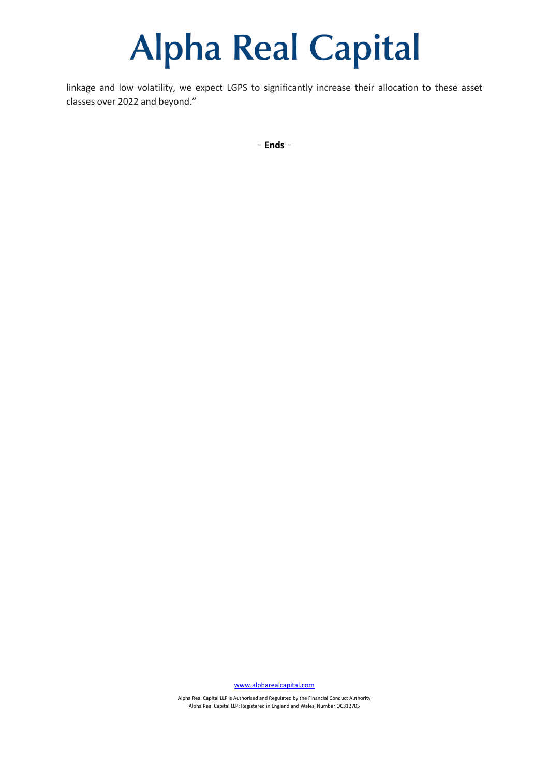### **Alpha Real Capital**

linkage and low volatility, we expect LGPS to significantly increase their allocation to these asset classes over 2022 and beyond."

‐**Ends**‐

[www.alpharealcapital.com](http://www.alpharealcapital.com/)

Alpha Real Capital LLP is Authorised and Regulated by the Financial Conduct Authority Alpha Real Capital LLP: Registered in England and Wales, Number OC312705